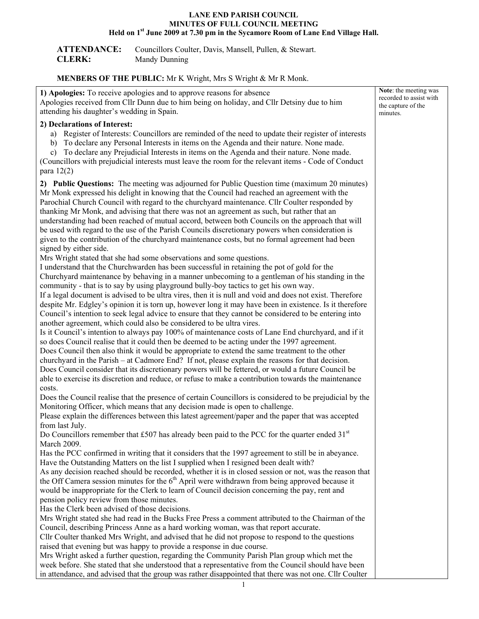## **LANE END PARISH COUNCIL MINUTES OF FULL COUNCIL MEETING**  Held on 1<sup>st</sup> June 2009 at 7.30 pm in the Sycamore Room of Lane End Village Hall.

| <b>ATTENDANCE:</b> | Councillors Coulter, Davis, Mansell, Pullen, & Stewart. |
|--------------------|---------------------------------------------------------|
| <b>CLERK:</b>      | Mandy Dunning                                           |

## **MENBERS OF THE PUBLIC:** Mr K Wright, Mrs S Wright & Mr R Monk.

| 1) Apologies: To receive apologies and to approve reasons for absence<br>Apologies received from Cllr Dunn due to him being on holiday, and Cllr Detsiny due to him<br>attending his daughter's wedding in Spain.                                                                                                                                                                                                                                                                                                                                                                                                                                                                                                                                                                                                                                                                                                                                                                                                                                                                                                                                                                                                                                                                                                                                                                                                                                                                                                                                                                                                                                                                                                                      | Note: the meeting was<br>recorded to assist with<br>the capture of the<br>minutes. |
|----------------------------------------------------------------------------------------------------------------------------------------------------------------------------------------------------------------------------------------------------------------------------------------------------------------------------------------------------------------------------------------------------------------------------------------------------------------------------------------------------------------------------------------------------------------------------------------------------------------------------------------------------------------------------------------------------------------------------------------------------------------------------------------------------------------------------------------------------------------------------------------------------------------------------------------------------------------------------------------------------------------------------------------------------------------------------------------------------------------------------------------------------------------------------------------------------------------------------------------------------------------------------------------------------------------------------------------------------------------------------------------------------------------------------------------------------------------------------------------------------------------------------------------------------------------------------------------------------------------------------------------------------------------------------------------------------------------------------------------|------------------------------------------------------------------------------------|
| 2) Declarations of Interest:<br>a) Register of Interests: Councillors are reminded of the need to update their register of interests                                                                                                                                                                                                                                                                                                                                                                                                                                                                                                                                                                                                                                                                                                                                                                                                                                                                                                                                                                                                                                                                                                                                                                                                                                                                                                                                                                                                                                                                                                                                                                                                   |                                                                                    |
| b) To declare any Personal Interests in items on the Agenda and their nature. None made.<br>c) To declare any Prejudicial Interests in items on the Agenda and their nature. None made.<br>(Councillors with prejudicial interests must leave the room for the relevant items - Code of Conduct                                                                                                                                                                                                                                                                                                                                                                                                                                                                                                                                                                                                                                                                                                                                                                                                                                                                                                                                                                                                                                                                                                                                                                                                                                                                                                                                                                                                                                        |                                                                                    |
| para $12(2)$                                                                                                                                                                                                                                                                                                                                                                                                                                                                                                                                                                                                                                                                                                                                                                                                                                                                                                                                                                                                                                                                                                                                                                                                                                                                                                                                                                                                                                                                                                                                                                                                                                                                                                                           |                                                                                    |
| 2) Public Questions: The meeting was adjourned for Public Question time (maximum 20 minutes)<br>Mr Monk expressed his delight in knowing that the Council had reached an agreement with the<br>Parochial Church Council with regard to the churchyard maintenance. Cllr Coulter responded by<br>thanking Mr Monk, and advising that there was not an agreement as such, but rather that an<br>understanding had been reached of mutual accord, between both Councils on the approach that will<br>be used with regard to the use of the Parish Councils discretionary powers when consideration is<br>given to the contribution of the churchyard maintenance costs, but no formal agreement had been                                                                                                                                                                                                                                                                                                                                                                                                                                                                                                                                                                                                                                                                                                                                                                                                                                                                                                                                                                                                                                  |                                                                                    |
|                                                                                                                                                                                                                                                                                                                                                                                                                                                                                                                                                                                                                                                                                                                                                                                                                                                                                                                                                                                                                                                                                                                                                                                                                                                                                                                                                                                                                                                                                                                                                                                                                                                                                                                                        |                                                                                    |
| signed by either side.<br>Mrs Wright stated that she had some observations and some questions.<br>I understand that the Churchwarden has been successful in retaining the pot of gold for the<br>Churchyard maintenance by behaving in a manner unbecoming to a gentleman of his standing in the<br>community - that is to say by using playground bully-boy tactics to get his own way.<br>If a legal document is advised to be ultra vires, then it is null and void and does not exist. Therefore<br>despite Mr. Edgley's opinion it is torn up, however long it may have been in existence. Is it therefore<br>Council's intention to seek legal advice to ensure that they cannot be considered to be entering into<br>another agreement, which could also be considered to be ultra vires.<br>Is it Council's intention to always pay 100% of maintenance costs of Lane End churchyard, and if it<br>so does Council realise that it could then be deemed to be acting under the 1997 agreement.<br>Does Council then also think it would be appropriate to extend the same treatment to the other<br>churchyard in the Parish - at Cadmore End? If not, please explain the reasons for that decision.<br>Does Council consider that its discretionary powers will be fettered, or would a future Council be<br>able to exercise its discretion and reduce, or refuse to make a contribution towards the maintenance<br>costs.<br>Does the Council realise that the presence of certain Councillors is considered to be prejudicial by the<br>Monitoring Officer, which means that any decision made is open to challenge.<br>Please explain the differences between this latest agreement/paper and the paper that was accepted |                                                                                    |
| from last July.                                                                                                                                                                                                                                                                                                                                                                                                                                                                                                                                                                                                                                                                                                                                                                                                                                                                                                                                                                                                                                                                                                                                                                                                                                                                                                                                                                                                                                                                                                                                                                                                                                                                                                                        |                                                                                    |
| Do Councillors remember that £507 has already been paid to the PCC for the quarter ended $31st$<br>March 2009.                                                                                                                                                                                                                                                                                                                                                                                                                                                                                                                                                                                                                                                                                                                                                                                                                                                                                                                                                                                                                                                                                                                                                                                                                                                                                                                                                                                                                                                                                                                                                                                                                         |                                                                                    |
| Has the PCC confirmed in writing that it considers that the 1997 agreement to still be in abeyance.<br>Have the Outstanding Matters on the list I supplied when I resigned been dealt with?<br>As any decision reached should be recorded, whether it is in closed session or not, was the reason that<br>the Off Camera session minutes for the $6th$ April were withdrawn from being approved because it<br>would be inappropriate for the Clerk to learn of Council decision concerning the pay, rent and<br>pension policy review from those minutes.                                                                                                                                                                                                                                                                                                                                                                                                                                                                                                                                                                                                                                                                                                                                                                                                                                                                                                                                                                                                                                                                                                                                                                              |                                                                                    |
| Has the Clerk been advised of those decisions.<br>Mrs Wright stated she had read in the Bucks Free Press a comment attributed to the Chairman of the                                                                                                                                                                                                                                                                                                                                                                                                                                                                                                                                                                                                                                                                                                                                                                                                                                                                                                                                                                                                                                                                                                                                                                                                                                                                                                                                                                                                                                                                                                                                                                                   |                                                                                    |
| Council, describing Princess Anne as a hard working woman, was that report accurate.                                                                                                                                                                                                                                                                                                                                                                                                                                                                                                                                                                                                                                                                                                                                                                                                                                                                                                                                                                                                                                                                                                                                                                                                                                                                                                                                                                                                                                                                                                                                                                                                                                                   |                                                                                    |
| Cllr Coulter thanked Mrs Wright, and advised that he did not propose to respond to the questions                                                                                                                                                                                                                                                                                                                                                                                                                                                                                                                                                                                                                                                                                                                                                                                                                                                                                                                                                                                                                                                                                                                                                                                                                                                                                                                                                                                                                                                                                                                                                                                                                                       |                                                                                    |
| raised that evening but was happy to provide a response in due course.<br>Mrs Wright asked a further question, regarding the Community Parish Plan group which met the<br>week before. She stated that she understood that a representative from the Council should have been<br>in attendance, and advised that the group was rather disappointed that there was not one. Cllr Coulter                                                                                                                                                                                                                                                                                                                                                                                                                                                                                                                                                                                                                                                                                                                                                                                                                                                                                                                                                                                                                                                                                                                                                                                                                                                                                                                                                |                                                                                    |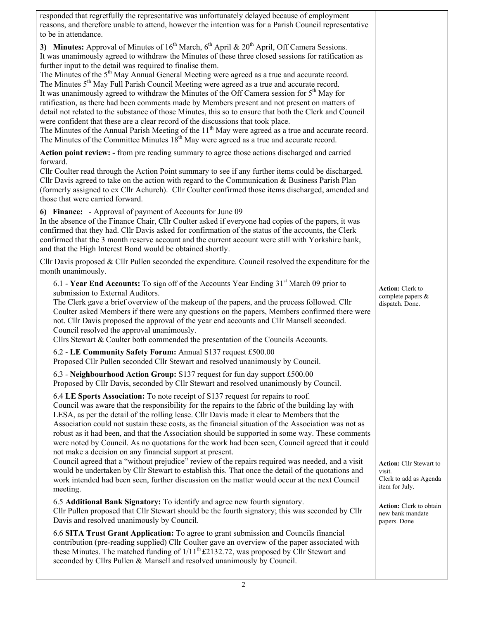| responded that regretfully the representative was unfortunately delayed because of employment<br>reasons, and therefore unable to attend, however the intention was for a Parish Council representative<br>to be in attendance.                                                                                                                                                                                                                                                                                                                                                                                                                                                                                                                                                                                                                                                                                                                                                                                                                                                                                            |                                                                                      |
|----------------------------------------------------------------------------------------------------------------------------------------------------------------------------------------------------------------------------------------------------------------------------------------------------------------------------------------------------------------------------------------------------------------------------------------------------------------------------------------------------------------------------------------------------------------------------------------------------------------------------------------------------------------------------------------------------------------------------------------------------------------------------------------------------------------------------------------------------------------------------------------------------------------------------------------------------------------------------------------------------------------------------------------------------------------------------------------------------------------------------|--------------------------------------------------------------------------------------|
| 3) Minutes: Approval of Minutes of $16th$ March, $6th$ April & $20th$ April, Off Camera Sessions.<br>It was unanimously agreed to withdraw the Minutes of these three closed sessions for ratification as<br>further input to the detail was required to finalise them.<br>The Minutes of the 5 <sup>th</sup> May Annual General Meeting were agreed as a true and accurate record.<br>The Minutes 5 <sup>th</sup> May Full Parish Council Meeting were agreed as a true and accurate record.<br>It was unanimously agreed to withdraw the Minutes of the Off Camera session for $5th$ May for<br>ratification, as there had been comments made by Members present and not present on matters of<br>detail not related to the substance of those Minutes, this so to ensure that both the Clerk and Council<br>were confident that these are a clear record of the discussions that took place.<br>The Minutes of the Annual Parish Meeting of the 11 <sup>th</sup> May were agreed as a true and accurate record.<br>The Minutes of the Committee Minutes 18 <sup>th</sup> May were agreed as a true and accurate record. |                                                                                      |
| Action point review: - from pre reading summary to agree those actions discharged and carried<br>forward.<br>Cllr Coulter read through the Action Point summary to see if any further items could be discharged.<br>Cllr Davis agreed to take on the action with regard to the Communication $\&$ Business Parish Plan<br>(formerly assigned to ex Cllr Achurch). Cllr Coulter confirmed those items discharged, amended and<br>those that were carried forward.                                                                                                                                                                                                                                                                                                                                                                                                                                                                                                                                                                                                                                                           |                                                                                      |
| 6) Finance: - Approval of payment of Accounts for June 09<br>In the absence of the Finance Chair, Cllr Coulter asked if everyone had copies of the papers, it was<br>confirmed that they had. Cllr Davis asked for confirmation of the status of the accounts, the Clerk<br>confirmed that the 3 month reserve account and the current account were still with Yorkshire bank,<br>and that the High Interest Bond would be obtained shortly.                                                                                                                                                                                                                                                                                                                                                                                                                                                                                                                                                                                                                                                                               |                                                                                      |
| Cllr Davis proposed $&$ Cllr Pullen seconded the expenditure. Council resolved the expenditure for the<br>month unanimously.                                                                                                                                                                                                                                                                                                                                                                                                                                                                                                                                                                                                                                                                                                                                                                                                                                                                                                                                                                                               |                                                                                      |
| 6.1 - Year End Accounts: To sign off of the Accounts Year Ending 31 <sup>st</sup> March 09 prior to<br>submission to External Auditors.<br>The Clerk gave a brief overview of the makeup of the papers, and the process followed. Cllr<br>Coulter asked Members if there were any questions on the papers, Members confirmed there were<br>not. Cllr Davis proposed the approval of the year end accounts and Cllr Mansell seconded.<br>Council resolved the approval unanimously.<br>Cllrs Stewart & Coulter both commended the presentation of the Councils Accounts.                                                                                                                                                                                                                                                                                                                                                                                                                                                                                                                                                    | <b>Action:</b> Clerk to<br>complete papers &<br>dispatch. Done.                      |
| 6.2 - LE Community Safety Forum: Annual S137 request £500.00<br>Proposed Cllr Pullen seconded Cllr Stewart and resolved unanimously by Council.                                                                                                                                                                                                                                                                                                                                                                                                                                                                                                                                                                                                                                                                                                                                                                                                                                                                                                                                                                            |                                                                                      |
| 6.3 - Neighbourhood Action Group: S137 request for fun day support £500.00<br>Proposed by Cllr Davis, seconded by Cllr Stewart and resolved unanimously by Council.                                                                                                                                                                                                                                                                                                                                                                                                                                                                                                                                                                                                                                                                                                                                                                                                                                                                                                                                                        |                                                                                      |
| 6.4 LE Sports Association: To note receipt of S137 request for repairs to roof.<br>Council was aware that the responsibility for the repairs to the fabric of the building lay with<br>LESA, as per the detail of the rolling lease. Cllr Davis made it clear to Members that the<br>Association could not sustain these costs, as the financial situation of the Association was not as<br>robust as it had been, and that the Association should be supported in some way. These comments<br>were noted by Council. As no quotations for the work had been seen, Council agreed that it could<br>not make a decision on any financial support at present.                                                                                                                                                                                                                                                                                                                                                                                                                                                                |                                                                                      |
| Council agreed that a "without prejudice" review of the repairs required was needed, and a visit<br>would be undertaken by Cllr Stewart to establish this. That once the detail of the quotations and<br>work intended had been seen, further discussion on the matter would occur at the next Council<br>meeting.                                                                                                                                                                                                                                                                                                                                                                                                                                                                                                                                                                                                                                                                                                                                                                                                         | <b>Action: Cllr Stewart to</b><br>visit.<br>Clerk to add as Agenda<br>item for July. |
| 6.5 Additional Bank Signatory: To identify and agree new fourth signatory.<br>Cllr Pullen proposed that Cllr Stewart should be the fourth signatory; this was seconded by Cllr<br>Davis and resolved unanimously by Council.                                                                                                                                                                                                                                                                                                                                                                                                                                                                                                                                                                                                                                                                                                                                                                                                                                                                                               | <b>Action:</b> Clerk to obtain<br>new bank mandate<br>papers. Done                   |
| 6.6 SITA Trust Grant Application: To agree to grant submission and Councils financial<br>contribution (pre-reading supplied) Cllr Coulter gave an overview of the paper associated with<br>these Minutes. The matched funding of $1/11^{th}$ £2132.72, was proposed by Cllr Stewart and<br>seconded by Cllrs Pullen & Mansell and resolved unanimously by Council.                                                                                                                                                                                                                                                                                                                                                                                                                                                                                                                                                                                                                                                                                                                                                         |                                                                                      |